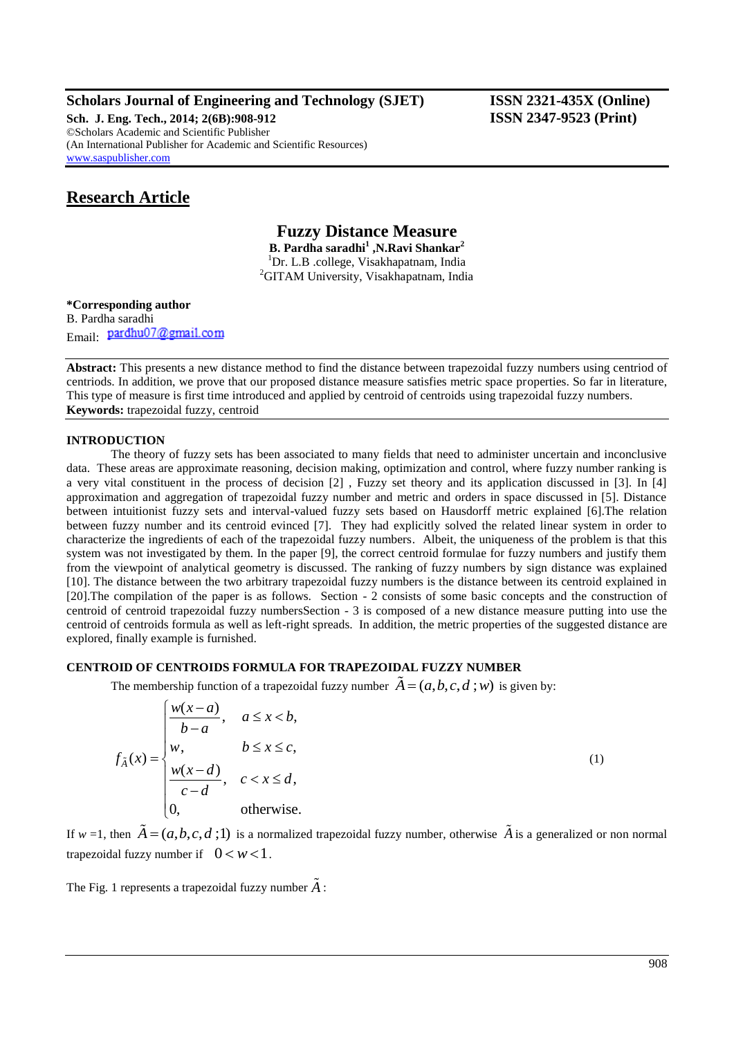# **Scholars Journal of Engineering and Technology (SJET) ISSN 2321-435X (Online)**

**Sch. J. Eng. Tech., 2014; 2(6B):908-912 ISSN 2347-9523 (Print)** ©Scholars Academic and Scientific Publisher (An International Publisher for Academic and Scientific Resources) [www.saspublisher.com](http://www.saspublisher.com/)

# **Research Article**

**Fuzzy Distance Measure B. Pardha saradhi<sup>1</sup> ,N.Ravi Shankar<sup>2</sup>** <sup>1</sup>Dr. L.B .college, Visakhapatnam, India <sup>2</sup>GITAM University, Visakhapatnam, India

## **\*Corresponding author** B. Pardha saradhi Email: pardhu07@gmail.com

**Abstract:** This presents a new distance method to find the distance between trapezoidal fuzzy numbers using centriod of centriods. In addition, we prove that our proposed distance measure satisfies metric space properties. So far in literature, This type of measure is first time introduced and applied by centroid of centroids using trapezoidal fuzzy numbers. **Keywords:** trapezoidal fuzzy, centroid

### **INTRODUCTION**

The theory of fuzzy sets has been associated to many fields that need to administer uncertain and inconclusive data. These areas are approximate reasoning, decision making, optimization and control, where fuzzy number ranking is a very vital constituent in the process of decision [2] , Fuzzy set theory and its application discussed in [3]. In [4] approximation and aggregation of trapezoidal fuzzy number and metric and orders in space discussed in [5]. Distance between intuitionist fuzzy sets and interval-valued fuzzy sets based on Hausdorff metric explained [6].The relation between fuzzy number and its centroid evinced [7]. They had explicitly solved the related linear system in order to characterize the ingredients of each of the trapezoidal fuzzy numbers. Albeit, the uniqueness of the problem is that this system was not investigated by them. In the paper [9], the correct centroid formulae for fuzzy numbers and justify them from the viewpoint of analytical geometry is discussed. The ranking of fuzzy numbers by sign distance was explained [10]. The distance between the two arbitrary trapezoidal fuzzy numbers is the distance between its centroid explained in [20].The compilation of the paper is as follows. Section - 2 consists of some basic concepts and the construction of centroid of centroid trapezoidal fuzzy numbersSection - 3 is composed of a new distance measure putting into use the centroid of centroids formula as well as left-right spreads. In addition, the metric properties of the suggested distance are explored, finally example is furnished.

# **CENTROID OF CENTROIDS FORMULA FOR TRAPEZOIDAL FUZZY NUMBER**

The membership function of a trapezoidal fuzzy number 
$$
\tilde{A} = (a, b, c, d; w)
$$
 is given by:  
\n
$$
\int_{\tilde{A}}^{\tilde{B}} f(x) dx = \begin{cases}\n\frac{w(x-a)}{b-a}, & a \le x < b, \\
w, & b \le x \le c, \\
\frac{w(x-d)}{c-d}, & c < x \le d, \\
0, & \text{otherwise.} \n\end{cases}
$$
\n(1)

If  $w = 1$ , then  $\tilde{A} = (a, b, c, d; 1)$  is a normalized trapezoidal fuzzy number, otherwise  $\tilde{A}$  is a generalized or non normal trapezoidal fuzzy number if  $0 < w < 1$ .

The Fig. 1 represents a trapezoidal fuzzy number *A* :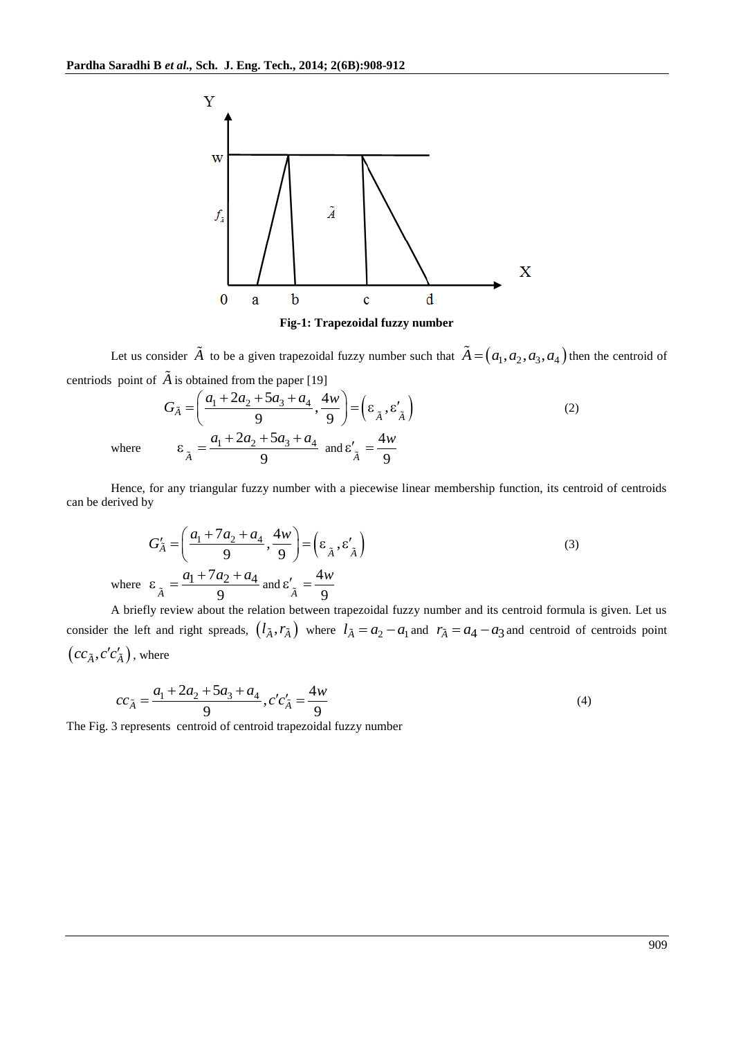

**Fig-1: Trapezoidal fuzzy number**

Let us consider  $\tilde{A}$  to be a given trapezoidal fuzzy number such that  $\tilde{A} = (a_1, a_2, a_3, a_4)$  then the centroid of

centriods point of 
$$
\tilde{A}
$$
 is obtained from the paper [19]  
\n
$$
G_{\tilde{A}} = \left(\frac{a_1 + 2a_2 + 5a_3 + a_4}{9}, \frac{4w}{9}\right) = \left(\varepsilon_{\tilde{A}}, \varepsilon'_{\tilde{A}}\right)
$$
\nwhere  
\n
$$
\varepsilon_{\tilde{A}} = \frac{a_1 + 2a_2 + 5a_3 + a_4}{9} \text{ and } \varepsilon'_{\tilde{A}} = \frac{4w}{9}
$$
\n(2)

Hence, for any triangular fuzzy number with a piecewise linear membership function, its centroid of centroids can be derived by

$$
G'_{\tilde{A}} = \left(\frac{a_1 + 7a_2 + a_4}{9}, \frac{4w}{9}\right) = \left(\varepsilon_{\tilde{A}}, \varepsilon'_{\tilde{A}}\right)
$$
  
where  $\varepsilon_{\tilde{A}} = \frac{a_1 + 7a_2 + a_4}{9}$  and  $\varepsilon'_{\tilde{A}} = \frac{4w}{9}$  (3)

A briefly review about the relation between trapezoidal fuzzy number and its centroid formula is given. Let us consider the left and right spreads,  $(l_{\tilde{A}}, r_{\tilde{A}})$  where  $l_{\tilde{A}} = a_2 - a_1$  and  $r_{\tilde{A}} = a_4 - a_3$  and centroid of centroids point  $\left(cc_{\tilde{A}},c'c'_{\tilde{A}}\right)$ , where

$$
cc_{\tilde{A}} = \frac{a_1 + 2a_2 + 5a_3 + a_4}{9}, c'c'_{\tilde{A}} = \frac{4w}{9}
$$
  
The Fig. 3 represents centroid of centroid trapezoidal fuzzy number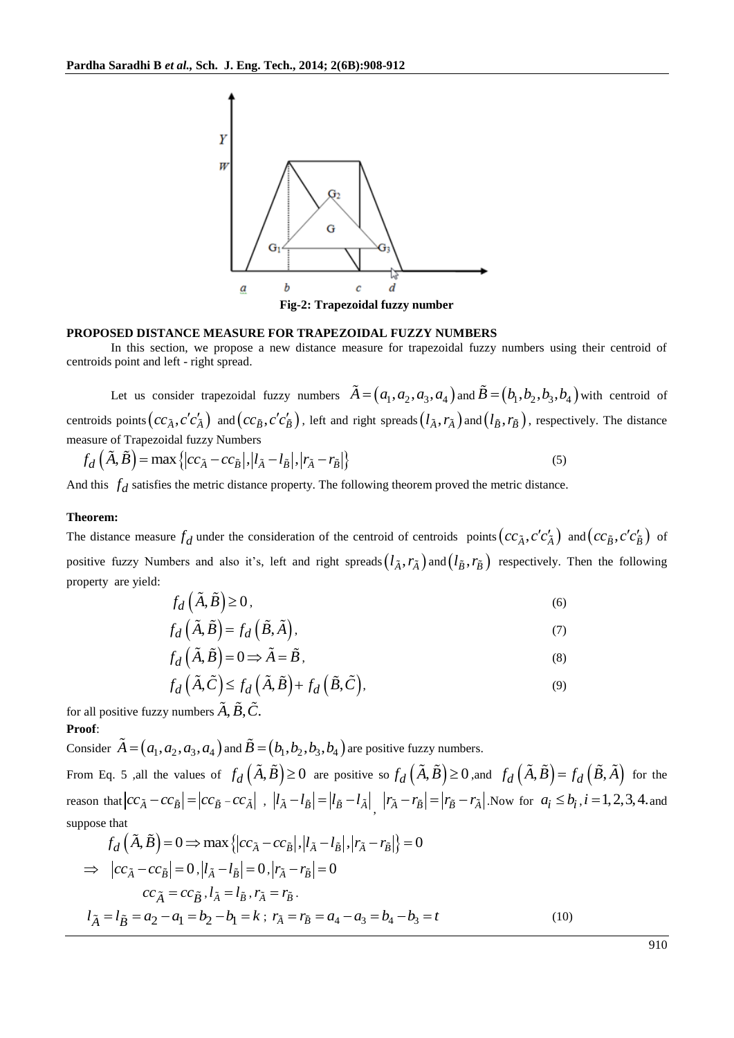

#### **PROPOSED DISTANCE MEASURE FOR TRAPEZOIDAL FUZZY NUMBERS**

In this section, we propose a new distance measure for trapezoidal fuzzy numbers using their centroid of centroids point and left - right spread.

Let us consider trapezoidal fuzzy numbers  $\tilde{A} = (a_1, a_2, a_3, a_4)$  and  $\tilde{B} = (b_1, b_2, b_3, b_4)$  with centroid of centroids points  $(cc_{\tilde{A}}, c'c'_{\tilde{A}})$  and  $(cc_{\tilde{B}}, c'c'_{\tilde{B}})$ , left and right spreads  $(l_{\tilde{A}}, r_{\tilde{A}})$  and  $(l_{\tilde{B}}, r_{\tilde{B}})$ , respectively. The distance measure of Trapezoidal fuzzy Numbers measure of Trapezoidal fuzzy Numbers<br>  $f_d(\tilde{A}, \tilde{B}) = \max \{|cc_{\tilde{A}} - cc_{\tilde{B}}|, |l_{\tilde{A}} - l_{\tilde{B}}|, |r_{\tilde{A}} - r_{\tilde{B}}|\}$  (5)

$$
f_d\left(\tilde{A},\tilde{B}\right) = \max\left\{|cc_{\tilde{A}} - cc_{\tilde{B}}|, |l_{\tilde{A}} - l_{\tilde{B}}|, |r_{\tilde{A}} - r_{\tilde{B}}|\right\}
$$
\n<sup>(5)</sup>

And this  $f_d$  satisfies the metric distance property. The following theorem proved the metric distance.

#### **Theorem:**

The distance measure  $f_d$  under the consideration of the centroid of centroids points  $\left(cc_{\tilde{A}}, c'c'_{\tilde{A}}\right)$  and  $\left(cc_{\tilde{B}}, c'c'_{\tilde{B}}\right)$  of positive fuzzy Numbers and also it's, left and right spreads  $(l_{\tilde{A}}, r_{\tilde{A}})$  and  $(l_{\tilde{B}}, r_{\tilde{B}})$  respectively. Then the following property are yield:

$$
f_d\left(\tilde{A},\tilde{B}\right) \ge 0\,,\tag{6}
$$

$$
f_d\left(\tilde{A}, \tilde{B}\right) = f_d\left(\tilde{B}, \tilde{A}\right),\tag{7}
$$

$$
f_d\left(\tilde{A}, \tilde{B}\right) = 0 \Longrightarrow \tilde{A} = \tilde{B},\tag{8}
$$

$$
f_d(\tilde{A}, \tilde{C}) \le f_d(\tilde{A}, \tilde{B}) + f_d(\tilde{B}, \tilde{C}),
$$
\n
$$
f_d(\tilde{A}, \tilde{C}) \le f_d(\tilde{A}, \tilde{B}) + f_d(\tilde{B}, \tilde{C}),
$$
\n(9)

for all positive fuzzy numbers  $\ddot{A}, \ddot{B}, \ddot{C}$ . **Proof**:

Consider  $\tilde{A} = (a_1, a_2, a_3, a_4)$  and  $\tilde{B} = (b_1, b_2, b_3, b_4)$  are positive fuzzy numbers.

From Eq. 5 ,all the values of  $f_d\left(\tilde{A}, \tilde{B}\right) \ge 0$  are positive so  $f_d\left(\tilde{A}, \tilde{B}\right) \ge 0$ , and  $f_d\left(\tilde{A}, \tilde{B}\right) = f_d\left(\tilde{B}, \tilde{A}\right)$  for the reason that  $|cc_{\tilde{A}} - cc_{\tilde{B}}| = |cc_{\tilde{B}} - cc_{\tilde{A}}|$ ,  $|l_{\tilde{A}} - l_{\tilde{B}}| = |l_{\tilde{B}} - l_{\tilde{A}}|$ ,  $|r_{\tilde{A}} - r_{\tilde{B}}| = |r_{\tilde{B}} - r_{\tilde{A}}|$ . Now for  $a_i \le b_i$ ,  $i = 1, 2, 3, 4$ . and suppose that<br>  $f_d(\tilde{A}, \tilde{B}) = 0 \implies \max\{|cc_{\$ suppose that

$$
f_d(A, B) = 0 \Rightarrow \max \{|cc_{\tilde{A}} - cc_{\tilde{B}}|, |l_{\tilde{A}} - l_{\tilde{B}}|, |r_{\tilde{A}} - r_{\tilde{B}}|\} = 0
$$
  
\n
$$
\Rightarrow |cc_{\tilde{A}} - cc_{\tilde{B}}| = 0, |l_{\tilde{A}} - l_{\tilde{B}}| = 0, |r_{\tilde{A}} - r_{\tilde{B}}| = 0
$$
  
\n
$$
cc_{\tilde{A}} = cc_{\tilde{B}}, l_{\tilde{A}} = l_{\tilde{B}}, r_{\tilde{A}} = r_{\tilde{B}}.
$$
  
\n
$$
l_{\tilde{A}} = l_{\tilde{B}} = a_2 - a_1 = b_2 - b_1 = k; r_{\tilde{A}} = r_{\tilde{B}} = a_4 - a_3 = b_4 - b_3 = t
$$
 (10)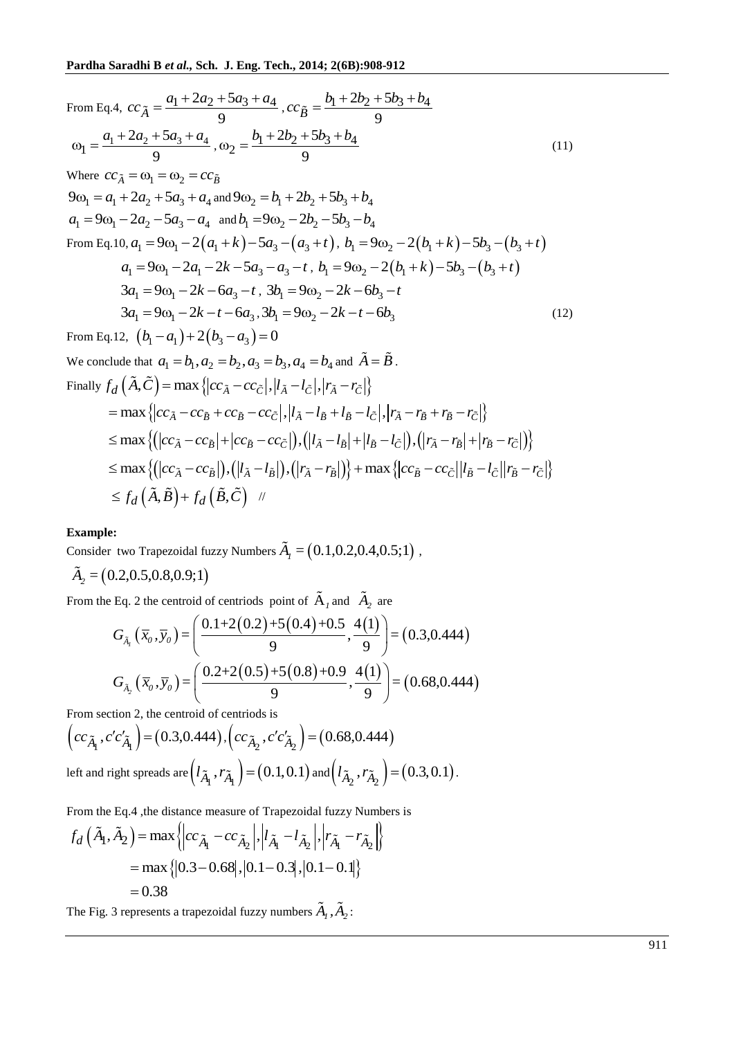From Eq.4, 
$$
cc_{\tilde{A}} = \frac{a_1 + 2a_2 + 5a_3 + a_4}{9}
$$
,  $cc_{\tilde{B}} = \frac{b_1 + 2b_2 + 5b_3 + b_4}{9}$   
\n $\omega_1 = \frac{a_1 + 2a_2 + 5a_3 + a_4}{9}$ ,  $\omega_2 = \frac{b_1 + 2b_2 + 5b_3 + b_4}{9}$  (11)  
\nWhere  $cc_{\tilde{A}} = \omega_1 = \omega_2 = cc_{\tilde{B}}$   
\n $9\omega_1 = a_1 + 2a_2 + 5a_3 + a_4$  and  $9\omega_2 = b_1 + 2b_2 + 5b_3 + b_4$   
\n $a_1 = 9\omega_1 - 2a_2 - 5a_3 - a_4$  and  $b_1 = 9\omega_2 - 2b_2 - 5b_3 - b_4$   
\nFrom Eq. 10,  $a_1 = 9\omega_1 - 2(a_1 + k) - 5a_3 - (a_3 + t)$ ,  $b_1 = 9\omega_2 - 2(b_1 + k) - 5b_3 - (b_3 + t)$   
\n $a_1 = 9\omega_1 - 2a_1 - 2k - 5a_3 - a_3 - t$ ,  $b_1 = 9\omega_2 - 2(b_1 + k) - 5b_3 - (b_3 + t)$   
\n $3a_1 = 9\omega_1 - 2k - 6a_3 - t$ ,  $3b_1 = 9\omega_2 - 2k - 6b_3 - t$   
\n $3a_1 = 9\omega_1 - 2k - t - 6a_3$ ,  $3b_1 = 9\omega_2 - 2k - t - 6b_3$   
\nFrom Eq. 12,  $(b_1 - a_1) + 2(b_3 - a_3) = 0$   
\nWe conclude that  $a_1 = b_1$ ,  $a_2 = b_2$ ,  $a_3 = b_3$ ,  $a_4 = b_4$  and  $\tilde{A} = \tilde{B}$ .  
\nFinally  $f_d(\tilde{A}, \tilde{C}) = \max \{ |cc_{\tilde{A}} - cc_{\tilde{C}}|,$ 

we conclude that 
$$
a_1 - b_1, a_2 - b_2, a_3 - b_3, a_4 - b_4
$$
 and  $A - B$ .  
\nFinally 
$$
f_d(\tilde{A}, \tilde{C}) = \max \{|cc_{\tilde{A}} - cc_{\tilde{C}}|, |l_{\tilde{A}} - l_{\tilde{C}}|, |r_{\tilde{A}} - r_{\tilde{C}}|\}
$$
  
\n
$$
= \max \{|cc_{\tilde{A}} - cc_{\tilde{B}} + cc_{\tilde{B}} - cc_{\tilde{C}}|, |l_{\tilde{A}} - l_{\tilde{B}} + l_{\tilde{B}} - l_{\tilde{C}}|, |r_{\tilde{A}} - r_{\tilde{B}} + r_{\tilde{B}} - r_{\tilde{C}}|\}
$$
  
\n
$$
\leq \max \{(|cc_{\tilde{A}} - cc_{\tilde{B}}| + |cc_{\tilde{B}} - cc_{\tilde{C}}|), (|l_{\tilde{A}} - l_{\tilde{B}}| + |l_{\tilde{B}} - l_{\tilde{C}}|), (|r_{\tilde{A}} - r_{\tilde{B}}| + |r_{\tilde{B}} - r_{\tilde{C}}|)\}
$$
  
\n
$$
\leq \max \{(|cc_{\tilde{A}} - cc_{\tilde{B}}|), (|l_{\tilde{A}} - l_{\tilde{B}}|), (|r_{\tilde{A}} - r_{\tilde{B}}|)\} + \max \{|cc_{\tilde{B}} - cc_{\tilde{C}}| |l_{\tilde{B}} - l_{\tilde{C}}| |r_{\tilde{B}} - r_{\tilde{C}}|\}
$$
  
\n
$$
\leq f_d(\tilde{A}, \tilde{B}) + f_d(\tilde{B}, \tilde{C}) \quad \text{if}
$$

# **Example:**

Consider two Trapezoidal fuzzy Numbers  $\tilde{A}_l = (0.1, 0.2, 0.4, 0.5; 1)$ ,

$$
\tilde{A}_2 = (0.2, 0.5, 0.8, 0.9; 1)
$$

From the Eq. 2 the centroid of centriods point of  $\tilde{A}_1$  and  $\tilde{A}_2$  are

e Eq. 2 the centroid of centroids point of 
$$
\tilde{A}_1
$$
 and  $\tilde{A}_2$  are  
\n
$$
G_{\tilde{A}_1}(\overline{x}_0, \overline{y}_0) = \left(\frac{0.1 + 2(0.2) + 5(0.4) + 0.5}{9}, \frac{4(1)}{9}\right) = (0.3, 0.444)
$$
\n
$$
G_{\tilde{A}_2}(\overline{x}_0, \overline{y}_0) = \left(\frac{0.2 + 2(0.5) + 5(0.8) + 0.9}{9}, \frac{4(1)}{9}\right) = (0.68, 0.444)
$$
\n
$$
G_{\tilde{A}_2}(\overline{x}_0, \overline{y}_0) = \left(\frac{0.2 + 2(0.5) + 5(0.8) + 0.9}{9}, \frac{4(1)}{9}\right) = (0.68, 0.444)
$$

From section 2, the centroid of centriods is

$$
(cc_{\tilde{A}_1}, c'c'_{\tilde{A}_1}) = (0.3, 0.444), (cc_{\tilde{A}_2}, c'c'_{\tilde{A}_2}) = (0.68, 0.444)
$$
  
left and right spreads are  $(l_{\tilde{A}_1}, r_{\tilde{A}_1}) = (0.1, 0.1)$  and  $(l_{\tilde{A}_2}, r_{\tilde{A}_2}) = (0.3, 0.1)$ .

From the Eq.4 ,the distance measure of Trapezoidal fuzzy Numbers is

From the Eq.4, the distance measure of Trapezoidal fuzzy Numbers  
\n
$$
f_d\left(\tilde{A}_1, \tilde{A}_2\right) = \max \left\{ \left| c c_{\tilde{A}_1} - c c_{\tilde{A}_2} \right|, \left| l_{\tilde{A}_1} - l_{\tilde{A}_2} \right|, \left| r_{\tilde{A}_1} - r_{\tilde{A}_2} \right| \right\}
$$
\n
$$
= \max \left\{ \left| 0.3 - 0.68 \right|, \left| 0.1 - 0.3 \right|, \left| 0.1 - 0.1 \right| \right\}
$$
\n
$$
= 0.38
$$

The Fig. 3 represents a trapezoidal fuzzy numbers  $\hat{A}_1$ ,  $\hat{A}_2$ :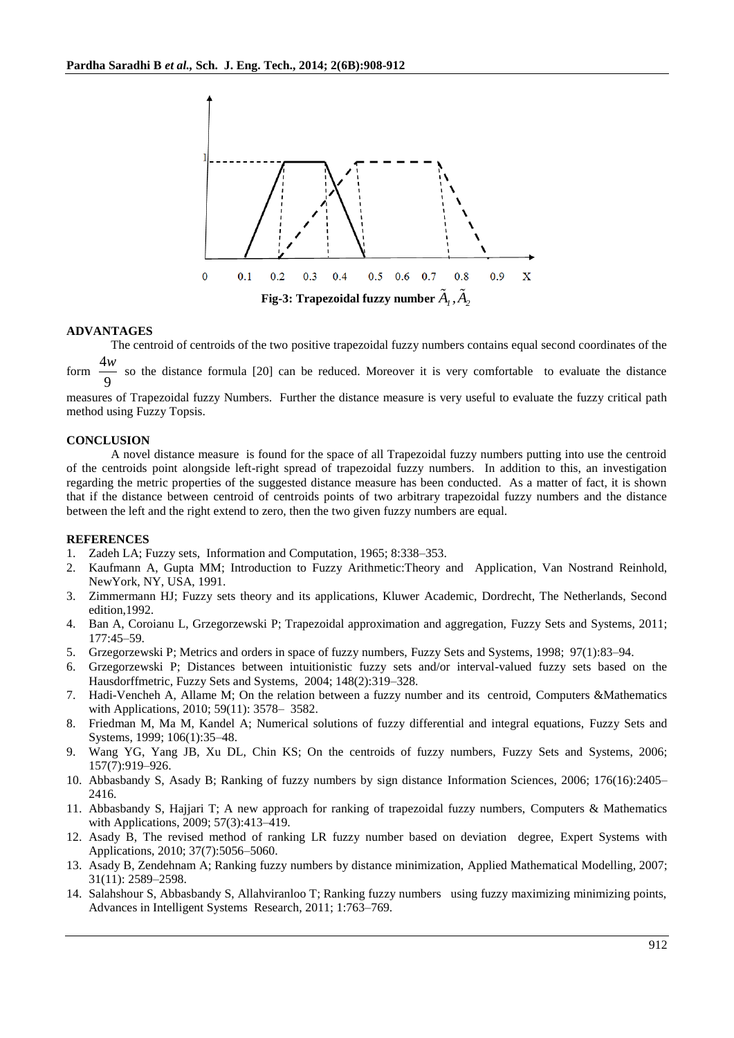

#### **ADVANTAGES**

The centroid of centroids of the two positive trapezoidal fuzzy numbers contains equal second coordinates of the form 4 *w* so the distance formula [20] can be reduced. Moreover it is very comfortable to evaluate the distance

9 measures of Trapezoidal fuzzy Numbers. Further the distance measure is very useful to evaluate the fuzzy critical path

method using Fuzzy Topsis.

#### **CONCLUSION**

A novel distance measure is found for the space of all Trapezoidal fuzzy numbers putting into use the centroid of the centroids point alongside left-right spread of trapezoidal fuzzy numbers. In addition to this, an investigation regarding the metric properties of the suggested distance measure has been conducted. As a matter of fact, it is shown that if the distance between centroid of centroids points of two arbitrary trapezoidal fuzzy numbers and the distance between the left and the right extend to zero, then the two given fuzzy numbers are equal.

#### **REFERENCES**

- 1. Zadeh LA; Fuzzy sets, Information and Computation, 1965; 8:338–353.
- 2. Kaufmann A, Gupta MM; Introduction to Fuzzy Arithmetic:Theory and Application, Van Nostrand Reinhold, NewYork, NY, USA, 1991.
- 3. Zimmermann HJ; Fuzzy sets theory and its applications, Kluwer Academic, Dordrecht, The Netherlands, Second edition,1992.
- 4. Ban A, Coroianu L, Grzegorzewski P; Trapezoidal approximation and aggregation, Fuzzy Sets and Systems, 2011; 177:45–59.
- 5. Grzegorzewski P; Metrics and orders in space of fuzzy numbers, Fuzzy Sets and Systems, 1998; 97(1):83–94.
- 6. Grzegorzewski P; Distances between intuitionistic fuzzy sets and/or interval-valued fuzzy sets based on the Hausdorffmetric, Fuzzy Sets and Systems, 2004; 148(2):319–328.
- 7. Hadi-Vencheh A, Allame M; On the relation between a fuzzy number and its centroid, Computers &Mathematics with Applications, 2010; 59(11): 3578– 3582.
- 8. Friedman M, Ma M, Kandel A; Numerical solutions of fuzzy differential and integral equations, Fuzzy Sets and Systems, 1999; 106(1):35–48.
- 9. Wang YG, Yang JB, Xu DL, Chin KS; On the centroids of fuzzy numbers, Fuzzy Sets and Systems, 2006; 157(7):919–926.
- 10. Abbasbandy S, Asady B; Ranking of fuzzy numbers by sign distance Information Sciences, 2006; 176(16):2405– 2416.
- 11. Abbasbandy S, Hajjari T; A new approach for ranking of trapezoidal fuzzy numbers, Computers & Mathematics with Applications, 2009; 57(3):413–419.
- 12. Asady B, The revised method of ranking LR fuzzy number based on deviation degree, Expert Systems with Applications, 2010; 37(7):5056–5060.
- 13. Asady B, Zendehnam A; Ranking fuzzy numbers by distance minimization, Applied Mathematical Modelling, 2007; 31(11): 2589–2598.
- 14. Salahshour S, Abbasbandy S, Allahviranloo T; Ranking fuzzy numbers using fuzzy maximizing minimizing points, Advances in Intelligent Systems Research, 2011; 1:763–769.